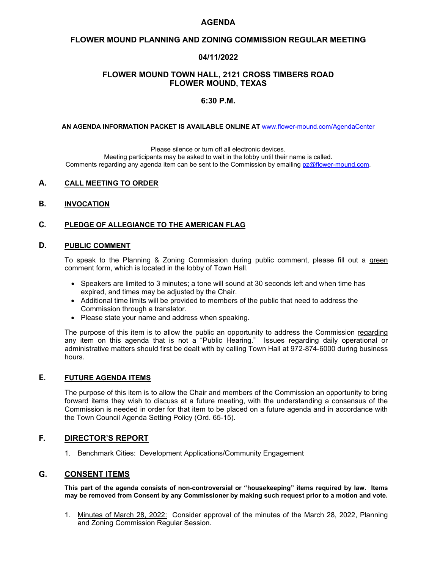## **AGENDA**

# **FLOWER MOUND PLANNING AND ZONING COMMISSION REGULAR MEETING**

# **04/11/2022**

## **FLOWER MOUND TOWN HALL, 2121 CROSS TIMBERS ROAD FLOWER MOUND, TEXAS**

## **6:30 P.M.**

**AN AGENDA INFORMATION PACKET IS AVAILABLE ONLINE AT** [www.flower-mound.com/AgendaCenter](http://www.flower-mound.com/AgendaCenter)

Please silence or turn off all electronic devices.

Meeting participants may be asked to wait in the lobby until their name is called. Comments regarding any agenda item can be sent to the Commission by emailing [pz@flower-mound.com.](mailto:pz@flower-mound.com)

### **A. CALL MEETING TO ORDER**

#### **B. INVOCATION**

## **C. PLEDGE OF ALLEGIANCE TO THE AMERICAN FLAG**

## **D. PUBLIC COMMENT**

To speak to the Planning & Zoning Commission during public comment, please fill out a green comment form, which is located in the lobby of Town Hall.

- Speakers are limited to 3 minutes; a tone will sound at 30 seconds left and when time has expired, and times may be adjusted by the Chair.
- Additional time limits will be provided to members of the public that need to address the Commission through a translator.
- Please state your name and address when speaking.

The purpose of this item is to allow the public an opportunity to address the Commission regarding any item on this agenda that is not a "Public Hearing." Issues regarding daily operational or administrative matters should first be dealt with by calling Town Hall at 972-874-6000 during business hours.

#### **E. FUTURE AGENDA ITEMS**

The purpose of this item is to allow the Chair and members of the Commission an opportunity to bring forward items they wish to discuss at a future meeting, with the understanding a consensus of the Commission is needed in order for that item to be placed on a future agenda and in accordance with the Town Council Agenda Setting Policy (Ord. 65-15).

## **F. DIRECTOR'S REPORT**

1. Benchmark Cities: Development Applications/Community Engagement

#### **G. CONSENT ITEMS**

**This part of the agenda consists of non-controversial or "housekeeping" items required by law. Items may be removed from Consent by any Commissioner by making such request prior to a motion and vote.**

1. Minutes of March 28, 2022: Consider approval of the minutes of the March 28, 2022, Planning and Zoning Commission Regular Session.